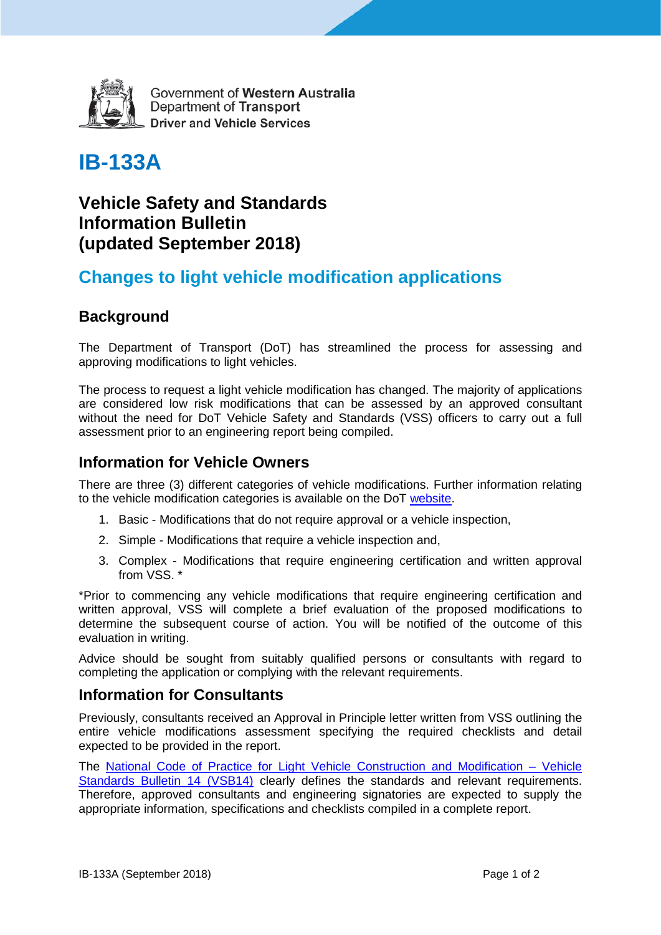

Government of Western Australia Department of Transport **Driver and Vehicle Services** 

# **IB-133A**

### **Vehicle Safety and Standards Information Bulletin (updated September 2018)**

## **Changes to light vehicle modification applications**

### **Background**

The Department of Transport (DoT) has streamlined the process for assessing and approving modifications to light vehicles.

The process to request a light vehicle modification has changed. The majority of applications are considered low risk modifications that can be assessed by an approved consultant without the need for DoT Vehicle Safety and Standards (VSS) officers to carry out a full assessment prior to an engineering report being compiled.

### **Information for Vehicle Owners**

There are three (3) different categories of vehicle modifications. Further information relating to the vehicle modification categories is available on the DoT [website.](https://www.transport.wa.gov.au/licensing/modify-or-construct-a-vehicle.asp)

- 1. Basic Modifications that do not require approval or a vehicle inspection,
- 2. Simple Modifications that require a vehicle inspection and,
- 3. Complex Modifications that require engineering certification and written approval from VSS. \*

\*Prior to commencing any vehicle modifications that require engineering certification and written approval, VSS will complete a brief evaluation of the proposed modifications to determine the subsequent course of action. You will be notified of the outcome of this evaluation in writing.

Advice should be sought from suitably qualified persons or consultants with regard to completing the application or complying with the relevant requirements.

#### **Information for Consultants**

Previously, consultants received an Approval in Principle letter written from VSS outlining the entire vehicle modifications assessment specifying the required checklists and detail expected to be provided in the report.

The [National Code of Practice for Light Vehicle Construction and Modification – Vehicle](https://infrastructure.gov.au/vehicles/vehicle_regulation/bulletin/vsb_ncop.aspx)  [Standards Bulletin 14 \(VSB14\)](https://infrastructure.gov.au/vehicles/vehicle_regulation/bulletin/vsb_ncop.aspx) clearly defines the standards and relevant requirements. Therefore, approved consultants and engineering signatories are expected to supply the appropriate information, specifications and checklists compiled in a complete report.